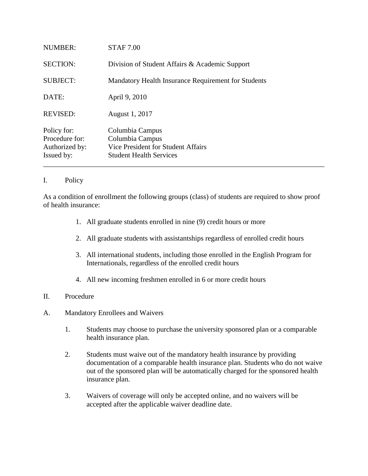| Issued by:      | <b>Student Health Services</b>                      |
|-----------------|-----------------------------------------------------|
| Authorized by:  | Vice President for Student Affairs                  |
| Procedure for:  | Columbia Campus                                     |
| Policy for:     | Columbia Campus                                     |
| <b>REVISED:</b> | August 1, 2017                                      |
| DATE:           | April 9, 2010                                       |
| <b>SUBJECT:</b> | Mandatory Health Insurance Requirement for Students |
| <b>SECTION:</b> | Division of Student Affairs & Academic Support      |
| <b>NUMBER:</b>  | <b>STAF 7.00</b>                                    |

## I. Policy

As a condition of enrollment the following groups (class) of students are required to show proof of health insurance:

- 1. All graduate students enrolled in nine (9) credit hours or more
- 2. All graduate students with assistantships regardless of enrolled credit hours
- 3. All international students, including those enrolled in the English Program for Internationals, regardless of the enrolled credit hours
- 4. All new incoming freshmen enrolled in 6 or more credit hours

## II. Procedure

- A. Mandatory Enrollees and Waivers
	- 1. Students may choose to purchase the university sponsored plan or a comparable health insurance plan.
	- 2. Students must waive out of the mandatory health insurance by providing documentation of a comparable health insurance plan. Students who do not waive out of the sponsored plan will be automatically charged for the sponsored health insurance plan.
	- 3. Waivers of coverage will only be accepted online, and no waivers will be accepted after the applicable waiver deadline date.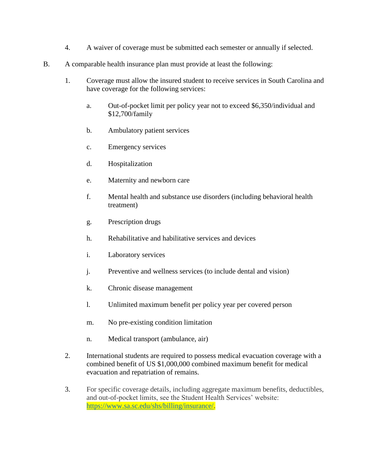- 4. A waiver of coverage must be submitted each semester or annually if selected.
- B. A comparable health insurance plan must provide at least the following:
	- 1. Coverage must allow the insured student to receive services in South Carolina and have coverage for the following services:
		- a. Out-of-pocket limit per policy year not to exceed \$6,350/individual and \$12,700/family
		- b. Ambulatory patient services
		- c. Emergency services
		- d. Hospitalization
		- e. Maternity and newborn care
		- f. Mental health and substance use disorders (including behavioral health treatment)
		- g. Prescription drugs
		- h. Rehabilitative and habilitative services and devices
		- i. Laboratory services
		- j. Preventive and wellness services (to include dental and vision)
		- k. Chronic disease management
		- l. Unlimited maximum benefit per policy year per covered person
		- m. No pre-existing condition limitation
		- n. Medical transport (ambulance, air)
	- 2. International students are required to possess medical evacuation coverage with a combined benefit of US \$1,000,000 combined maximum benefit for medical evacuation and repatriation of remains.
	- 3. For specific coverage details, including aggregate maximum benefits, deductibles, and out-of-pocket limits, see the Student Health Services' website: [https://www.sa.sc.edu/shs/billing/insurance/.](https://www.sa.sc.edu/shs/billing/insurance/)